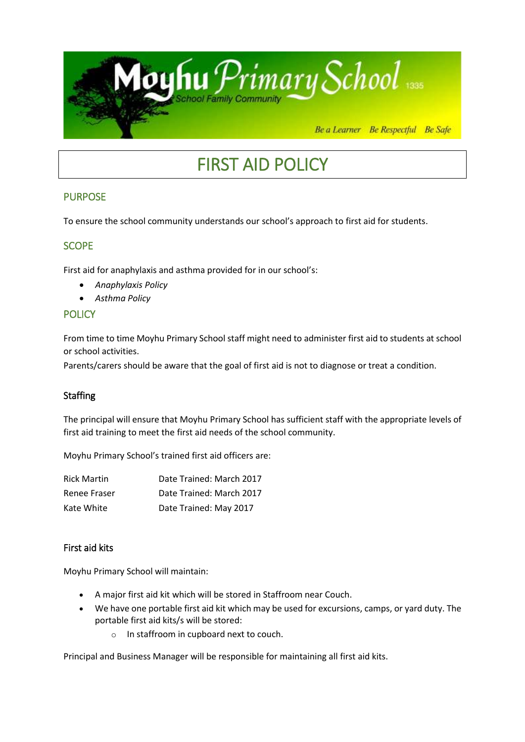

# FIRST AID POLICY

# PURPOSE

To ensure the school community understands our school's approach to first aid for students.

# **SCOPE**

First aid for anaphylaxis and asthma provided for in our school's:

- *Anaphylaxis Policy*
- *Asthma Policy*

# **POLICY**

From time to time Moyhu Primary School staff might need to administer first aid to students at school or school activities.

Parents/carers should be aware that the goal of first aid is not to diagnose or treat a condition.

#### Staffing

The principal will ensure that Moyhu Primary School has sufficient staff with the appropriate levels of first aid training to meet the first aid needs of the school community.

Moyhu Primary School's trained first aid officers are:

| <b>Rick Martin</b> | Date Trained: March 2017 |
|--------------------|--------------------------|
| Renee Fraser       | Date Trained: March 2017 |
| Kate White         | Date Trained: May 2017   |

#### First aid kits

Moyhu Primary School will maintain:

- A major first aid kit which will be stored in Staffroom near Couch.
- We have one portable first aid kit which may be used for excursions, camps, or yard duty. The portable first aid kits/s will be stored:
	- o In staffroom in cupboard next to couch.

Principal and Business Manager will be responsible for maintaining all first aid kits.